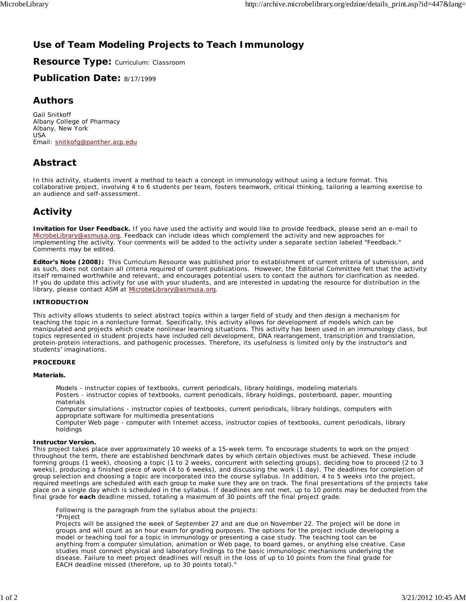# **Use of Team Modeling Projects to Teach Immunology**

**Resource Type:** Curriculum: Classroom

**Publication Date:** 8/17/1999

### **Authors**

*Gail Snitkoff* Albany College of Pharmacy Albany, New York USA Email: snitkofg@panther.acp.edu

## **Abstract**

In this activity, students invent a method to teach a concept in immunology without using a lecture format. This collaborative project, involving 4 to 6 students per team, fosters teamwork, critical thinking, tailoring a learning exercise to an audience and self-assessment.

# **Activity**

**Invitation for User Feedback.** If you have used the activity and would like to provide feedback, please send an e-mail to MicrobeLibrary@asmusa.org. Feedback can include ideas which complement the activity and new approaches for implementing the activity. Your comments will be added to the activity under a separate section labeled "Feedback." Comments may be edited.

**Editor's Note (2008):** This Curriculum Resource was published prior to establishment of current criteria of submission, and as such, does not contain all criteria required of current publications. However, the Editorial Committee felt that the activity itself remained worthwhile and relevant, and encourages potential users to contact the authors for clarification as needed. If you do update this activity for use with your students, and are interested in updating the resource for distribution in the library, please contact ASM at MicrobeLibrary@asmusa.org.

### **INTRODUCTION**

This activity allows students to select abstract topics within a larger field of study and then design a mechanism for teaching the topic in a nonlecture format. Specifically, this activity allows for development of models which can be manipulated and projects which create nonlinear learning situations. This activity has been used in an immunology class, but topics represented in student projects have included cell development, DNA rearrangement, transcription and translation, protein-protein interactions, and pathogenic processes. Therefore, its usefulness is limited only by the instructor's and students' imaginations.

### **PROCEDURE**

### **Materials.**

*Models* - instructor copies of textbooks, current periodicals, library holdings, modeling materials *Posters* - instructor copies of textbooks, current periodicals, library holdings, posterboard, paper, mounting materials

*Computer simulations* - instructor copies of textbooks, current periodicals, library holdings, computers with appropriate software for multimedia presentations

*Computer Web page* - computer with Internet access, instructor copies of textbooks, current periodicals, library holdings

### **Instructor Version.**

This project takes place over approximately 10 weeks of a 15-week term. To encourage students to work on the project throughout the term, there are established benchmark dates by which certain objectives must be achieved. These include forming groups (1 week), choosing a topic (1 to 2 weeks, concurrent with selecting groups), deciding how to proceed (2 to 3 weeks), producing a finished piece of work (4 to 6 weeks), and discussing the work (1 day). The deadlines for completion of group selection and choosing a topic are incorporated into the course syllabus. In addition, 4 to 5 weeks into the project, required meetings are scheduled with each group to make sure they are on track. The final presentations of the projects take place on a single day which is scheduled in the syllabus. If deadlines are not met, up to 10 points may be deducted from the final grade for **each** deadline missed, totaling a maximum of 30 points off the final project grade.

Following is the paragraph from the syllabus about the projects: "Project

Projects will be assigned the week of September 27 and are due on November 22. The project will be done in groups and will count as an hour exam for grading purposes. The options for the project include developing a model or teaching tool for a topic in immunology or presenting a case study. The teaching tool can be anything from a computer simulation, animation or Web page, to board games, or anything else creative. Case studies must connect physical and laboratory findings to the basic immunologic mechanisms underlying the disease. Failure to meet project deadlines will result in the loss of up to 10 points from the final grade for EACH deadline missed (therefore, up to 30 points total)."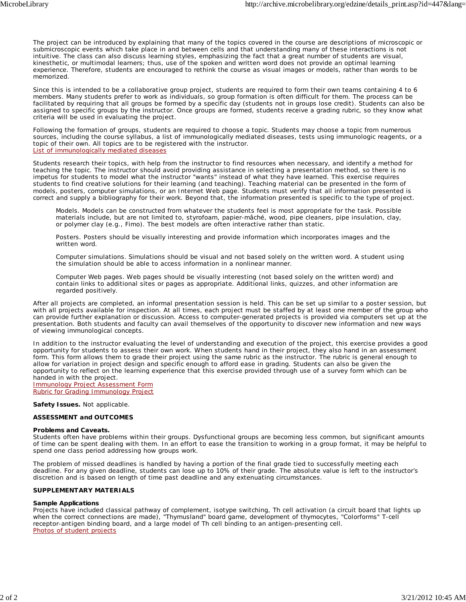The project can be introduced by explaining that many of the topics covered in the course are descriptions of microscopic or submicroscopic events which take place in and between cells and that understanding many of these interactions is not intuitive. The class can also discuss learning styles, emphasizing the fact that a great number of students are visual, kinesthetic, or multimodal learners; thus, use of the spoken and written word does not provide an optimal learning experience. Therefore, students are encouraged to rethink the course as visual images or models, rather than words to be memorized.

Since this is intended to be a collaborative group project, students are required to form their own teams containing 4 to 6 members. Many students prefer to work as individuals, so group formation is often difficult for them. The process can be facilitated by requiring that all groups be formed by a specific day (students not in groups lose credit). Students can also be assigned to specific groups by the instructor. Once groups are formed, students receive a grading rubric, so they know what criteria will be used in evaluating the project.

Following the formation of groups, students are required to choose a topic. Students may choose a topic from numerous sources, including the course syllabus, a list of immunologically mediated diseases, tests using immunologic reagents, or a topic of their own. All topics are to be registered with the instructor. List of immunologically mediated diseases

Students research their topics, with help from the instructor to find resources when necessary, and identify a method for teaching the topic. The instructor should avoid providing assistance in selecting a presentation method, so there is no impetus for students to model what the instructor "wants" instead of what they have learned. This exercise requires students to find creative solutions for their learning (and teaching). Teaching material can be presented in the form of models, posters, computer simulations, or an Internet Web page. Students must verify that all information presented is correct and supply a bibliography for their work. Beyond that, the information presented is specific to the type of project.

*Models.* Models can be constructed from whatever the students feel is most appropriate for the task. Possible materials include, but are not limited to, styrofoam, papier-mâché, wood, pipe cleaners, pipe insulation, clay, or polymer clay (e.g., Fimo). The best models are often interactive rather than static.

*Posters.* Posters should be visually interesting and provide information which incorporates images and the written word.

*Computer simulations.* Simulations should be visual and not based solely on the written word. A student using the simulation should be able to access information in a nonlinear manner.

*Computer Web pages.* Web pages should be visually interesting (not based solely on the written word) and contain links to additional sites or pages as appropriate. Additional links, quizzes, and other information are regarded positively.

After all projects are completed, an informal presentation session is held. This can be set up similar to a poster session, but with all projects available for inspection. At all times, each project must be staffed by at least one member of the group who can provide further explanation or discussion. Access to computer-generated projects is provided via computers set up at the presentation. Both students and faculty can avail themselves of the opportunity to discover new information and new ways of viewing immunological concepts.

In addition to the instructor evaluating the level of understanding and execution of the project, this exercise provides a good opportunity for students to assess their own work. When students hand in their project, they also hand in an assessment form. This form allows them to grade their project using the same rubric as the instructor. The rubric is general enough to allow for variation in project design and specific enough to afford ease in grading. Students can also be given the opportunity to reflect on the learning experience that this exercise provided through use of a survey form which can be handed in with the project. Immunology Project Assessment Form

Rubric for Grading Immunology Project

**Safety Issues.** Not applicable.

#### **ASSESSMENT and OUTCOMES**

#### **Problems and Caveats.**

Students often have problems within their groups. Dysfunctional groups are becoming less common, but significant amounts of time can be spent dealing with them. In an effort to ease the transition to working in a group format, it may be helpful to spend one class period addressing how groups work.

The problem of missed deadlines is handled by having a portion of the final grade tied to successfully meeting each deadline. For any given deadline, students can lose up to 10% of their grade. The absolute value is left to the instructor's discretion and is based on length of time past deadline and any extenuating circumstances.

#### **SUPPLEMENTARY MATERIALS**

#### **Sample Applications**

Projects have included classical pathway of complement, isotype switching, Th cell activation (a circuit board that lights up when the correct connections are made), "Thymusland" board game, development of thymocytes, "Colorforms" T-cell receptor-antigen binding board, and a large model of Th cell binding to an antigen-presenting cell. Photos of student projects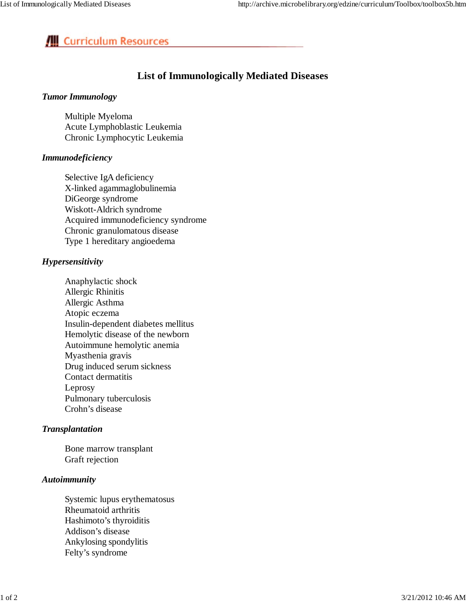# **III** Curriculum Resources

# **List of Immunologically Mediated Diseases**

### *Tumor Immunology*

Multiple Myeloma Acute Lymphoblastic Leukemia Chronic Lymphocytic Leukemia

### *Immunodeficiency*

Selective IgA deficiency X-linked agammaglobulinemia DiGeorge syndrome Wiskott-Aldrich syndrome Acquired immunodeficiency syndrome Chronic granulomatous disease Type 1 hereditary angioedema

## *Hypersensitivity*

Anaphylactic shock Allergic Rhinitis Allergic Asthma Atopic eczema Insulin-dependent diabetes mellitus Hemolytic disease of the newborn Autoimmune hemolytic anemia Myasthenia gravis Drug induced serum sickness Contact dermatitis Leprosy Pulmonary tuberculosis Crohn's disease

## *Transplantation*

Bone marrow transplant Graft rejection

### *Autoimmunity*

Systemic lupus erythematosus Rheumatoid arthritis Hashimoto's thyroiditis Addison's disease Ankylosing spondylitis Felty's syndrome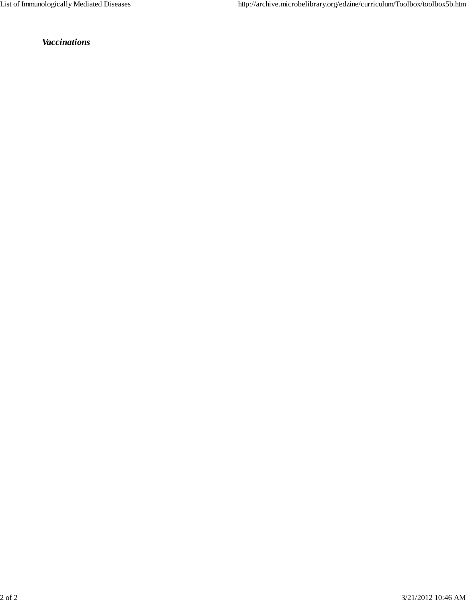*Vaccinations*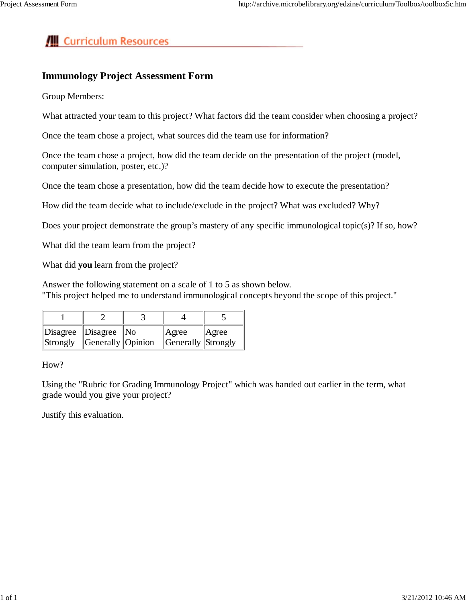# **/III** Curriculum Resources

## **Immunology Project Assessment Form**

Group Members:

What attracted your team to this project? What factors did the team consider when choosing a project?

Once the team chose a project, what sources did the team use for information?

Once the team chose a project, how did the team decide on the presentation of the project (model, computer simulation, poster, etc.)?

Once the team chose a presentation, how did the team decide how to execute the presentation?

How did the team decide what to include/exclude in the project? What was excluded? Why?

Does your project demonstrate the group's mastery of any specific immunological topic(s)? If so, how?

What did the team learn from the project?

What did **you** learn from the project?

Answer the following statement on a scale of 1 to 5 as shown below. "This project helped me to understand immunological concepts beyond the scope of this project."

| $\Delta$ Disagree $\Delta$ Disagree $\Delta$ No<br>$\left \text{Strongly}\right $ Generally Opinion |  | Agree<br><b>Generally Strongly</b> | Agree |
|-----------------------------------------------------------------------------------------------------|--|------------------------------------|-------|

How?

Using the "Rubric for Grading Immunology Project" which was handed out earlier in the term, what grade would you give your project?

Justify this evaluation.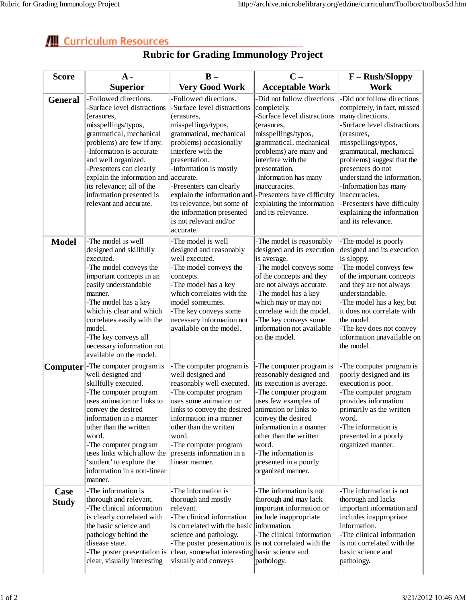# **Curriculum Resources**

| <b>Score</b>         | $A -$                                                                                                                                                                                                                                                                                                                                                          | $B -$                                                                                                                                                                                                                                                                                                                                                                     | $C -$                                                                                                                                                                                                                                                                                                                                  | F - Rush/Sloppy                                                                                                                                                                                                                                                                                                                                                                            |
|----------------------|----------------------------------------------------------------------------------------------------------------------------------------------------------------------------------------------------------------------------------------------------------------------------------------------------------------------------------------------------------------|---------------------------------------------------------------------------------------------------------------------------------------------------------------------------------------------------------------------------------------------------------------------------------------------------------------------------------------------------------------------------|----------------------------------------------------------------------------------------------------------------------------------------------------------------------------------------------------------------------------------------------------------------------------------------------------------------------------------------|--------------------------------------------------------------------------------------------------------------------------------------------------------------------------------------------------------------------------------------------------------------------------------------------------------------------------------------------------------------------------------------------|
|                      | <b>Superior</b>                                                                                                                                                                                                                                                                                                                                                | <b>Very Good Work</b>                                                                                                                                                                                                                                                                                                                                                     | <b>Acceptable Work</b>                                                                                                                                                                                                                                                                                                                 | <b>Work</b>                                                                                                                                                                                                                                                                                                                                                                                |
| <b>General</b>       | -Followed directions.<br>-Surface level distractions<br>(erasures,<br>misspellings/typos,<br>grammatical, mechanical<br>problems) are few if any.<br>-Information is accurate<br>and well organized.<br>-Presenters can clearly<br>explain the information and accurate.<br>its relevance; all of the<br>information presented is<br>relevant and accurate.    | Followed directions.<br>Surface level distractions<br>(erasures,<br>misspellings/typos,<br>grammatical, mechanical<br>problems) occasionally<br>interfere with the<br>presentation.<br>-Information is mostly<br>-Presenters can clearly<br>explain the information and<br>its relevance, but some of<br>the information presented<br>is not relevant and/or<br>accurate. | -Did not follow directions<br>completely.<br>-Surface level distractions<br>(erasures,<br>misspellings/typos,<br>grammatical, mechanical<br>problems) are many and<br>interfere with the<br>presentation.<br>-Information has many<br>inaccuracies.<br>-Presenters have difficulty<br>explaining the information<br>and its relevance. | -Did not follow directions<br>completely, in fact, missed<br>many directions.<br>Surface level distractions<br>(erasures,<br>misspellings/typos,<br>grammatical, mechanical<br>problems) suggest that the<br>presenters do not<br>understand the information.<br>-Information has many<br>inaccuracies.<br>-Presenters have difficulty<br>explaining the information<br>and its relevance. |
| <b>Model</b>         | -The model is well<br>designed and skillfully<br>executed.<br>-The model conveys the<br>important concepts in an<br>easily understandable<br>manner.<br>-The model has a key<br>which is clear and which<br>correlates easily with the<br>model.<br>-The key conveys all<br>necessary information not<br>available on the model.                               | The model is well<br>designed and reasonably<br>well executed.<br>-The model conveys the<br>concepts.<br>-The model has a key<br>which correlates with the<br>model sometimes.<br>-The key conveys some<br>necessary information not<br>available on the model.                                                                                                           | -The model is reasonably<br>designed and its execution<br>is average.<br>-The model conveys some<br>of the concepts and they<br>are not always accurate.<br>-The model has a key<br>which may or may not<br>correlate with the model.<br>-The key conveys some<br>information not available<br>on the model.                           | -The model is poorly<br>designed and its execution<br>is sloppy.<br>-The model conveys few<br>of the important concepts<br>and they are not always<br>understandable.<br>-The model has a key, but<br>it does not correlate with<br>the model.<br>-The key does not convey<br>information unavailable on<br>the model.                                                                     |
|                      | <b>Computer</b> - The computer program is<br>well designed and<br>skillfully executed.<br>-The computer program<br>uses animation or links to<br>convey the desired<br>information in a manner<br>other than the written<br>word.<br>-The computer program<br>uses links which allow the<br>'student' to explore the<br>information in a non-linear<br>manner. | -The computer program is<br>well designed and<br>reasonably well executed.<br>-The computer program<br>uses some animation or<br>links to convey the desired animation or links to<br>information in a manner<br>other than the written<br>word.<br>-The computer program<br>presents information in a<br>linear manner.                                                  | -The computer program is<br>reasonably designed and<br>its execution is average.<br>-The computer program<br>uses few examples of<br>convey the desired<br>information in a manner<br>other than the written<br>word.<br>-The information is<br>presented in a poorly<br>organized manner.                                             | -The computer program is<br>poorly designed and its<br>execution is poor.<br>-The computer program<br>provides information<br>primarily as the written<br>word.<br>-The information is<br>presented in a poorly<br>organized manner.                                                                                                                                                       |
| Case<br><b>Study</b> | -The information is<br>thorough and relevant.<br>-The clinical information<br>is clearly correlated with<br>the basic science and<br>pathology behind the<br>disease state.<br>-The poster presentation is<br>clear, visually interesting                                                                                                                      | The information is<br>thorough and mostly<br>relevant.<br>-The clinical information<br>is correlated with the basic information.<br>science and pathology.<br>-The poster presentation is<br>clear, somewhat interesting basic science and<br>visually and conveys                                                                                                        | -The information is not<br>thorough and may lack<br>important information or<br>include inappropriate<br>-The clinical information<br>is not correlated with the<br>pathology.                                                                                                                                                         | -The information is not<br>thorough and lacks<br>important information and<br>includes inappropriate<br>information.<br>-The clinical information<br>is not correlated with the<br>basic science and<br>pathology.                                                                                                                                                                         |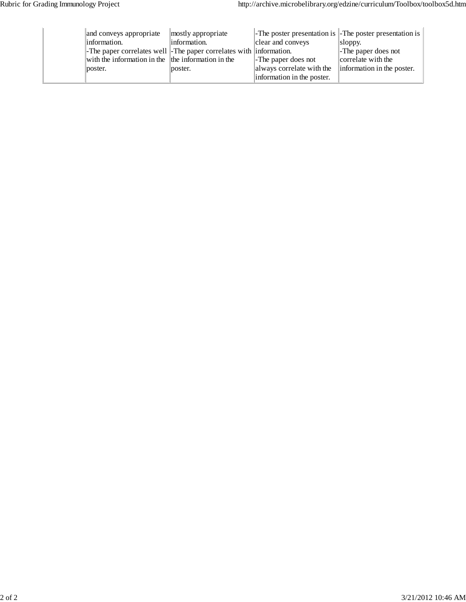| and conveys appropriate                                            | mostly appropriate | -The poster presentation is -The poster presentation is |                            |
|--------------------------------------------------------------------|--------------------|---------------------------------------------------------|----------------------------|
| linformation.                                                      | linformation.      | clear and conveys                                       | $\vert$ sloppy.            |
| -The paper correlates well -The paper correlates with information. |                    |                                                         | -The paper does not        |
| with the information in the the information in the                 |                    | -The paper does not                                     | correlate with the         |
| poster.                                                            | poster.            | always correlate with the                               | information in the poster. |
|                                                                    |                    | information in the poster.                              |                            |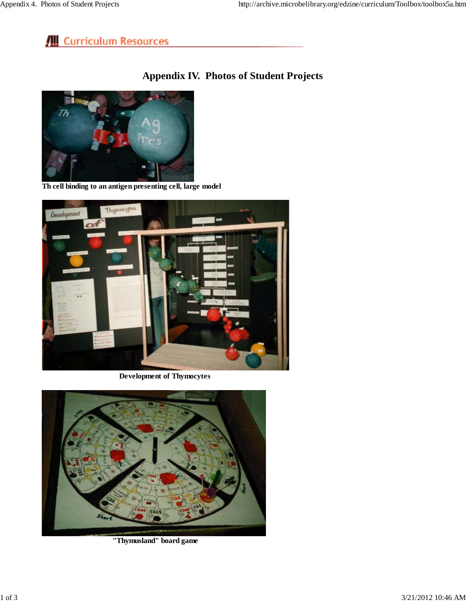# **III** Curriculum Resources

## **Appendix IV. Photos of Student Projects**



**Th cell binding to an antigen presenting cell, large model**



**Development of Thymocytes**



 **"Thymusland" board game**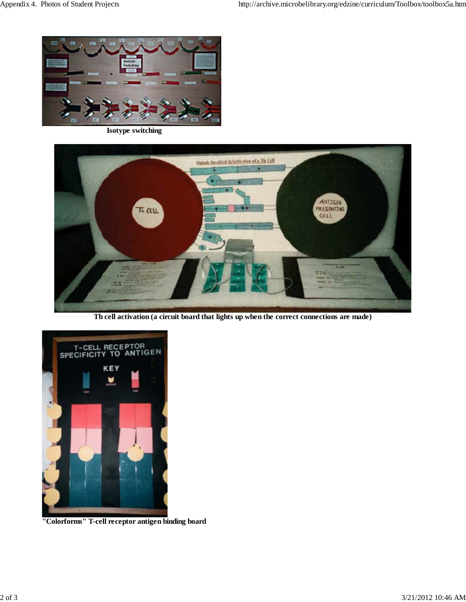

**Isotype switching**



**Th cell activation (a circuit board that lights up when the correct connections are made)**

![](_page_8_Picture_6.jpeg)

**"Colorforms" T-cell receptor antigen binding board**